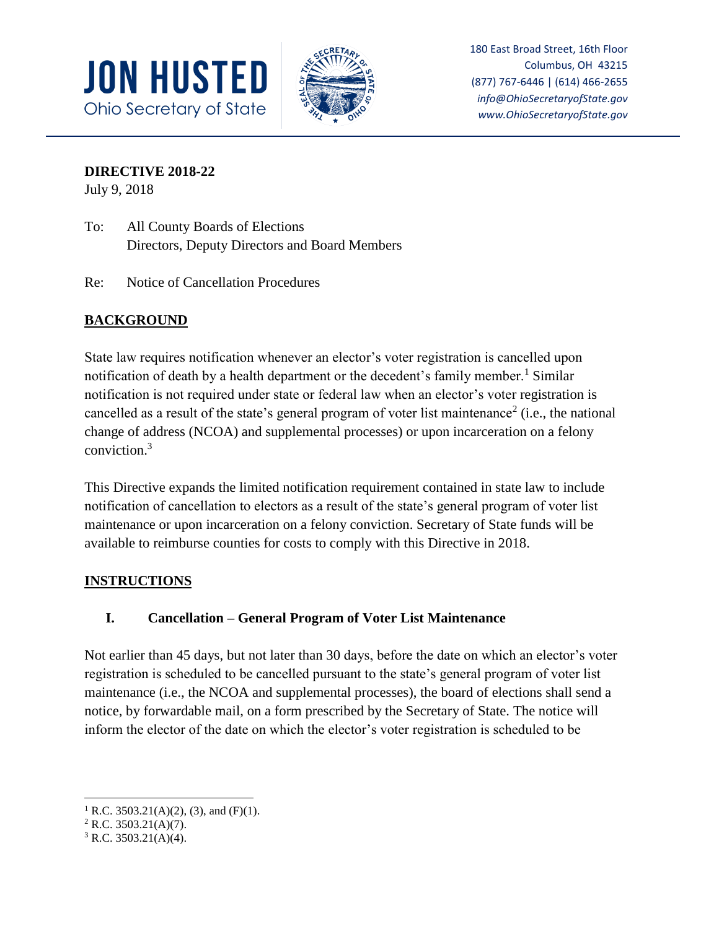



180 East Broad Street, 16th Floor Columbus, OH 43215 (877) 767-6446 | (614) 466-2655 *info@OhioSecretaryofState.gov www.OhioSecretaryofState.gov*

## **DIRECTIVE 2018-22**

July 9, 2018

- To: All County Boards of Elections Directors, Deputy Directors and Board Members
- Re: Notice of Cancellation Procedures

# **BACKGROUND**

State law requires notification whenever an elector's voter registration is cancelled upon notification of death by a health department or the decedent's family member.<sup>1</sup> Similar notification is not required under state or federal law when an elector's voter registration is cancelled as a result of the state's general program of voter list maintenance<sup>2</sup> (i.e., the national change of address (NCOA) and supplemental processes) or upon incarceration on a felony conviction.<sup>3</sup>

This Directive expands the limited notification requirement contained in state law to include notification of cancellation to electors as a result of the state's general program of voter list maintenance or upon incarceration on a felony conviction. Secretary of State funds will be available to reimburse counties for costs to comply with this Directive in 2018.

### **INSTRUCTIONS**

### **I. Cancellation – General Program of Voter List Maintenance**

Not earlier than 45 days, but not later than 30 days, before the date on which an elector's voter registration is scheduled to be cancelled pursuant to the state's general program of voter list maintenance (i.e., the NCOA and supplemental processes), the board of elections shall send a notice, by forwardable mail, on a form prescribed by the Secretary of State. The notice will inform the elector of the date on which the elector's voter registration is scheduled to be

 $\overline{\phantom{a}}$ 

<sup>&</sup>lt;sup>1</sup> R.C. 3503.21(A)(2), (3), and (F)(1).

 $2$  R.C. 3503.21(A)(7).

 $3$  R.C. 3503.21(A)(4).